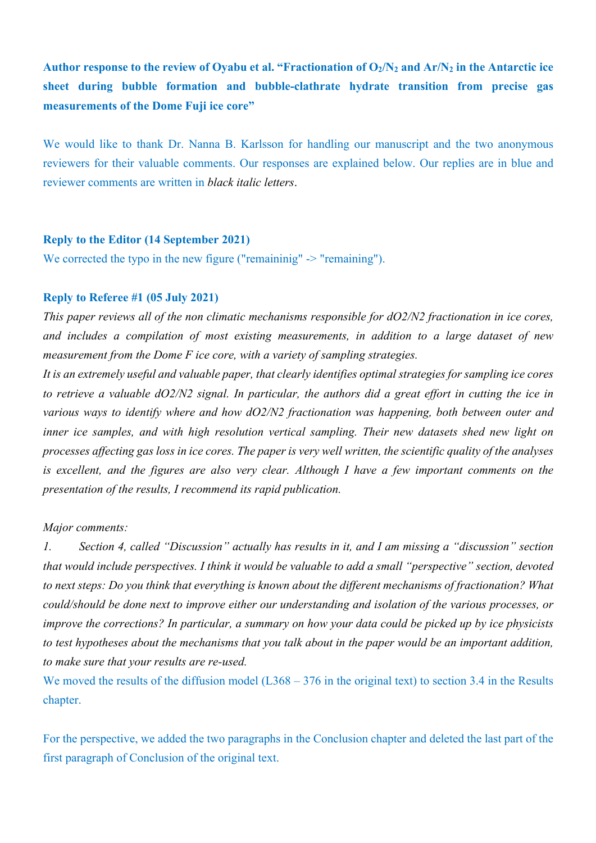**Author response to the review of Oyabu et al. "Fractionation of O2/N2 and Ar/N2 in the Antarctic ice sheet during bubble formation and bubble-clathrate hydrate transition from precise gas measurements of the Dome Fuji ice core"**

We would like to thank Dr. Nanna B. Karlsson for handling our manuscript and the two anonymous reviewers for their valuable comments. Our responses are explained below. Our replies are in blue and reviewer comments are written in *black italic letters*.

## **Reply to the Editor (14 September 2021)**

We corrected the typo in the new figure ("remaininig" -> "remaining").

#### **Reply to Referee #1 (05 July 2021)**

*This paper reviews all of the non climatic mechanisms responsible for dO2/N2 fractionation in ice cores, and includes a compilation of most existing measurements, in addition to a large dataset of new measurement from the Dome F ice core, with a variety of sampling strategies.* 

*It is an extremely useful and valuable paper, that clearly identifies optimal strategies for sampling ice cores to retrieve a valuable dO2/N2 signal. In particular, the authors did a great effort in cutting the ice in various ways to identify where and how dO2/N2 fractionation was happening, both between outer and inner ice samples, and with high resolution vertical sampling. Their new datasets shed new light on processes affecting gas loss in ice cores. The paper is very well written, the scientific quality of the analyses is excellent, and the figures are also very clear. Although I have a few important comments on the presentation of the results, I recommend its rapid publication.*

#### *Major comments:*

*1. Section 4, called "Discussion" actually has results in it, and I am missing a "discussion" section that would include perspectives. I think it would be valuable to add a small "perspective" section, devoted to next steps: Do you think that everything is known about the different mechanisms of fractionation? What could/should be done next to improve either our understanding and isolation of the various processes, or improve the corrections? In particular, a summary on how your data could be picked up by ice physicists to test hypotheses about the mechanisms that you talk about in the paper would be an important addition, to make sure that your results are re-used.*

We moved the results of the diffusion model (L368 – 376 in the original text) to section 3.4 in the Results chapter.

For the perspective, we added the two paragraphs in the Conclusion chapter and deleted the last part of the first paragraph of Conclusion of the original text.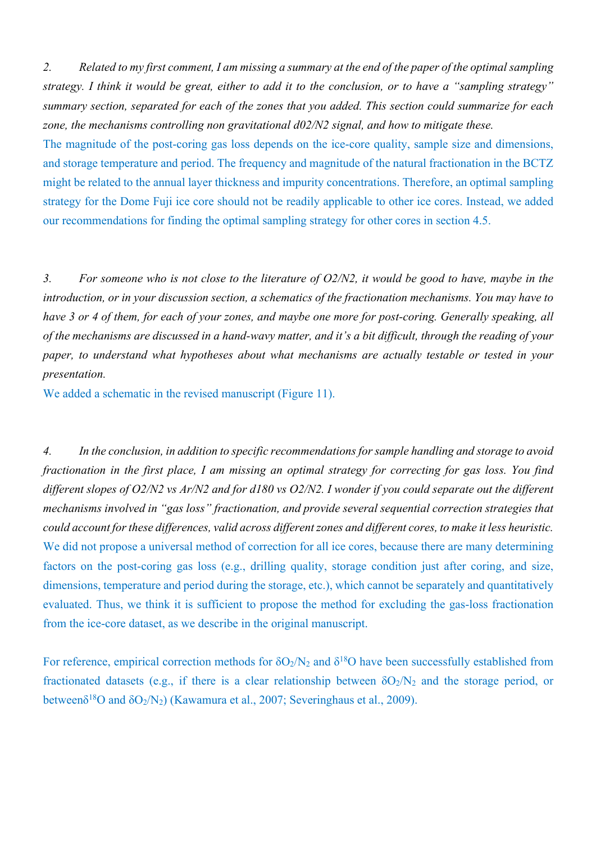*2. Related to my first comment, I am missing a summary at the end of the paper of the optimal sampling strategy. I think it would be great, either to add it to the conclusion, or to have a "sampling strategy" summary section, separated for each of the zones that you added. This section could summarize for each zone, the mechanisms controlling non gravitational d02/N2 signal, and how to mitigate these.*

The magnitude of the post-coring gas loss depends on the ice-core quality, sample size and dimensions, and storage temperature and period. The frequency and magnitude of the natural fractionation in the BCTZ might be related to the annual layer thickness and impurity concentrations. Therefore, an optimal sampling strategy for the Dome Fuji ice core should not be readily applicable to other ice cores. Instead, we added our recommendations for finding the optimal sampling strategy for other cores in section 4.5.

*3. For someone who is not close to the literature of O2/N2, it would be good to have, maybe in the introduction, or in your discussion section, a schematics of the fractionation mechanisms. You may have to have 3 or 4 of them, for each of your zones, and maybe one more for post-coring. Generally speaking, all of the mechanisms are discussed in a hand-wavy matter, and it's a bit difficult, through the reading of your paper, to understand what hypotheses about what mechanisms are actually testable or tested in your presentation.*

We added a schematic in the revised manuscript (Figure 11).

*4. In the conclusion, in addition to specific recommendations for sample handling and storage to avoid fractionation in the first place, I am missing an optimal strategy for correcting for gas loss. You find different slopes of O2/N2 vs Ar/N2 and for d180 vs O2/N2. I wonder if you could separate out the different mechanisms involved in "gas loss" fractionation, and provide several sequential correction strategies that could account for these differences, valid across different zones and different cores, to make it less heuristic.* We did not propose a universal method of correction for all ice cores, because there are many determining factors on the post-coring gas loss (e.g., drilling quality, storage condition just after coring, and size, dimensions, temperature and period during the storage, etc.), which cannot be separately and quantitatively evaluated. Thus, we think it is sufficient to propose the method for excluding the gas-loss fractionation from the ice-core dataset, as we describe in the original manuscript.

For reference, empirical correction methods for  $\delta O_2/N_2$  and  $\delta^{18}O$  have been successfully established from fractionated datasets (e.g., if there is a clear relationship between  $\delta O_2/N_2$  and the storage period, or between $\delta^{18}O$  and  $\delta O_2/N_2$ ) (Kawamura et al., 2007; Severinghaus et al., 2009).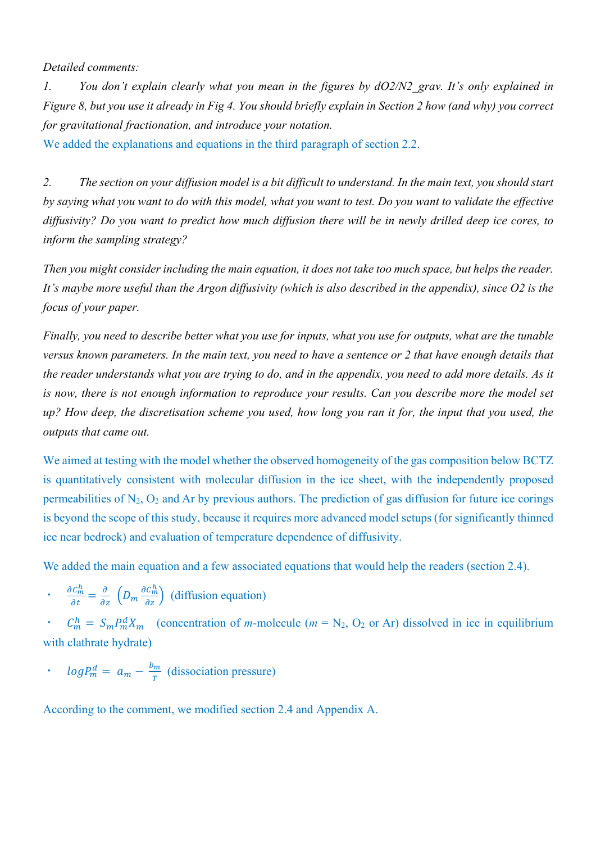*Detailed comments:*

*1. You don't explain clearly what you mean in the figures by dO2/N2\_grav. It's only explained in Figure 8, but you use it already in Fig 4. You should briefly explain in Section 2 how (and why) you correct for gravitational fractionation, and introduce your notation.*

We added the explanations and equations in the third paragraph of section 2.2.

*2. The section on your diffusion model is a bit difficult to understand. In the main text, you should start by saying what you want to do with this model, what you want to test. Do you want to validate the effective diffusivity? Do you want to predict how much diffusion there will be in newly drilled deep ice cores, to inform the sampling strategy?*

*Then you might consider including the main equation, it does not take too much space, but helps the reader. It's maybe more useful than the Argon diffusivity (which is also described in the appendix), since O2 is the focus of your paper.*

*Finally, you need to describe better what you use for inputs, what you use for outputs, what are the tunable versus known parameters. In the main text, you need to have a sentence or 2 that have enough details that the reader understands what you are trying to do, and in the appendix, you need to add more details. As it is now, there is not enough information to reproduce your results. Can you describe more the model set up? How deep, the discretisation scheme you used, how long you ran it for, the input that you used, the outputs that came out.*

We aimed at testing with the model whether the observed homogeneity of the gas composition below BCTZ is quantitatively consistent with molecular diffusion in the ice sheet, with the independently proposed permeabilities of  $N_2$ ,  $O_2$  and Ar by previous authors. The prediction of gas diffusion for future ice corings is beyond the scope of this study, because it requires more advanced model setups (for significantly thinned ice near bedrock) and evaluation of temperature dependence of diffusivity.

We added the main equation and a few associated equations that would help the readers (section 2.4).

 $\cdot$   $\frac{\partial c_m^h}{\partial t} = \frac{\partial}{\partial z} \left( D_m \frac{\partial c_m^h}{\partial z} \right)$  (diffusion equation)

 $\cdot$   $C_m^h = S_m P_m^d X_m$  (concentration of *m*-molecule ( $m = N_2$ , O<sub>2</sub> or Ar) dissolved in ice in equilibrium with clathrate hydrate)

•  $log P_m^d = a_m - \frac{b_m}{T}$  (dissociation pressure)

According to the comment, we modified section 2.4 and Appendix A.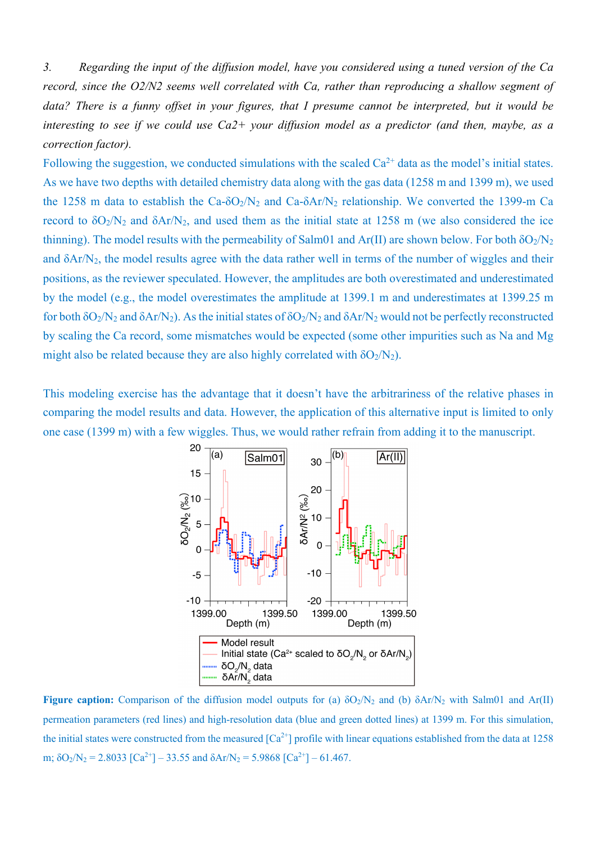*3. Regarding the input of the diffusion model, have you considered using a tuned version of the Ca record, since the O2/N2 seems well correlated with Ca, rather than reproducing a shallow segment of data? There is a funny offset in your figures, that I presume cannot be interpreted, but it would be interesting to see if we could use Ca2+ your diffusion model as a predictor (and then, maybe, as a correction factor).*

Following the suggestion, we conducted simulations with the scaled  $Ca^{2+}$  data as the model's initial states. As we have two depths with detailed chemistry data along with the gas data (1258 m and 1399 m), we used the 1258 m data to establish the Ca- $\delta O_2/N_2$  and Ca- $\delta Ar/N_2$  relationship. We converted the 1399-m Ca record to  $\delta O_2/N_2$  and  $\delta Ar/N_2$ , and used them as the initial state at 1258 m (we also considered the ice thinning). The model results with the permeability of Salm01 and Ar(II) are shown below. For both  $\delta O_2/N_2$ and  $\delta$ Ar/N<sub>2</sub>, the model results agree with the data rather well in terms of the number of wiggles and their positions, as the reviewer speculated. However, the amplitudes are both overestimated and underestimated by the model (e.g., the model overestimates the amplitude at 1399.1 m and underestimates at 1399.25 m for both  $\delta O_2/N_2$  and  $\delta Ar/N_2$ ). As the initial states of  $\delta O_2/N_2$  and  $\delta Ar/N_2$  would not be perfectly reconstructed by scaling the Ca record, some mismatches would be expected (some other impurities such as Na and Mg might also be related because they are also highly correlated with  $\delta O_2/N_2$ ).

This modeling exercise has the advantage that it doesn't have the arbitrariness of the relative phases in comparing the model results and data. However, the application of this alternative input is limited to only one case (1399 m) with a few wiggles. Thus, we would rather refrain from adding it to the manuscript.



**Figure caption:** Comparison of the diffusion model outputs for (a)  $\delta O_2/N_2$  and (b)  $\delta Ar/N_2$  with Salm01 and Ar(II) permeation parameters (red lines) and high-resolution data (blue and green dotted lines) at 1399 m. For this simulation, the initial states were constructed from the measured  $[Ca^{2+}]$  profile with linear equations established from the data at 1258 m;  $\delta O_2/N_2 = 2.8033$   $[Ca^{2+}]-33.55$  and  $\delta Ar/N_2 = 5.9868$   $[Ca^{2+}]-61.467$ .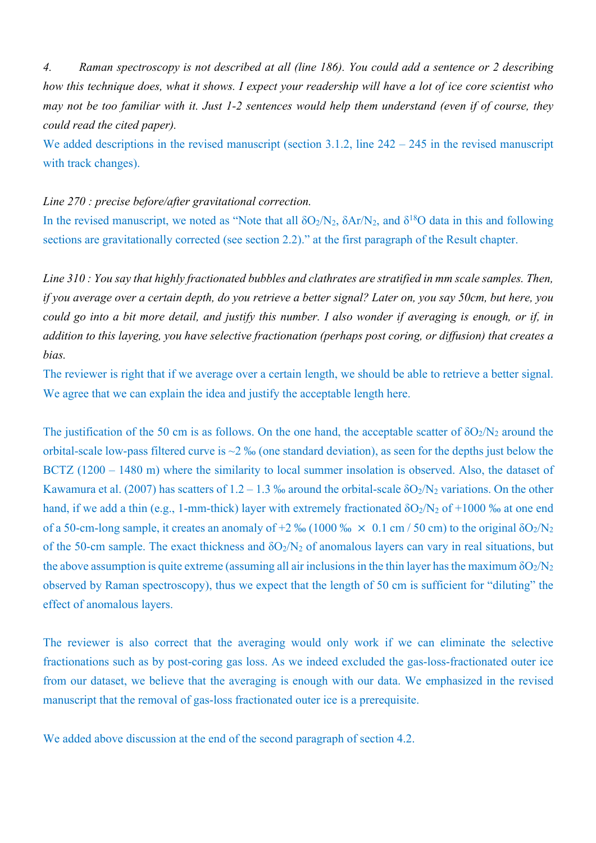*4. Raman spectroscopy is not described at all (line 186). You could add a sentence or 2 describing how this technique does, what it shows. I expect your readership will have a lot of ice core scientist who may not be too familiar with it. Just 1-2 sentences would help them understand (even if of course, they could read the cited paper).*

We added descriptions in the revised manuscript (section 3.1.2, line 242 – 245 in the revised manuscript with track changes).

#### *Line 270 : precise before/after gravitational correction.*

In the revised manuscript, we noted as "Note that all  $\delta O_2/N_2$ ,  $\delta Ar/N_2$ , and  $\delta^{18}O$  data in this and following sections are gravitationally corrected (see section 2.2)." at the first paragraph of the Result chapter.

*Line 310 : You say that highly fractionated bubbles and clathrates are stratified in mm scale samples. Then, if you average over a certain depth, do you retrieve a better signal? Later on, you say 50cm, but here, you could go into a bit more detail, and justify this number. I also wonder if averaging is enough, or if, in addition to this layering, you have selective fractionation (perhaps post coring, or diffusion) that creates a bias.*

The reviewer is right that if we average over a certain length, we should be able to retrieve a better signal. We agree that we can explain the idea and justify the acceptable length here.

The justification of the 50 cm is as follows. On the one hand, the acceptable scatter of  $\delta O_2/N_2$  around the orbital-scale low-pass filtered curve is ~2 ‰ (one standard deviation), as seen for the depths just below the BCTZ (1200 – 1480 m) where the similarity to local summer insolation is observed. Also, the dataset of Kawamura et al. (2007) has scatters of 1.2 – 1.3 ‰ around the orbital-scale  $\delta O_2/N_2$  variations. On the other hand, if we add a thin (e.g., 1-mm-thick) layer with extremely fractionated  $\delta O_2/N_2$  of +1000 ‰ at one end of a 50-cm-long sample, it creates an anomaly of  $+2\%$  (1000 %  $\times$  0.1 cm / 50 cm) to the original  $\delta O_2/N_2$ of the 50-cm sample. The exact thickness and  $\delta O_2/N_2$  of anomalous layers can vary in real situations, but the above assumption is quite extreme (assuming all air inclusions in the thin layer has the maximum  $\delta O_2/N_2$ observed by Raman spectroscopy), thus we expect that the length of 50 cm is sufficient for "diluting" the effect of anomalous layers.

The reviewer is also correct that the averaging would only work if we can eliminate the selective fractionations such as by post-coring gas loss. As we indeed excluded the gas-loss-fractionated outer ice from our dataset, we believe that the averaging is enough with our data. We emphasized in the revised manuscript that the removal of gas-loss fractionated outer ice is a prerequisite.

We added above discussion at the end of the second paragraph of section 4.2.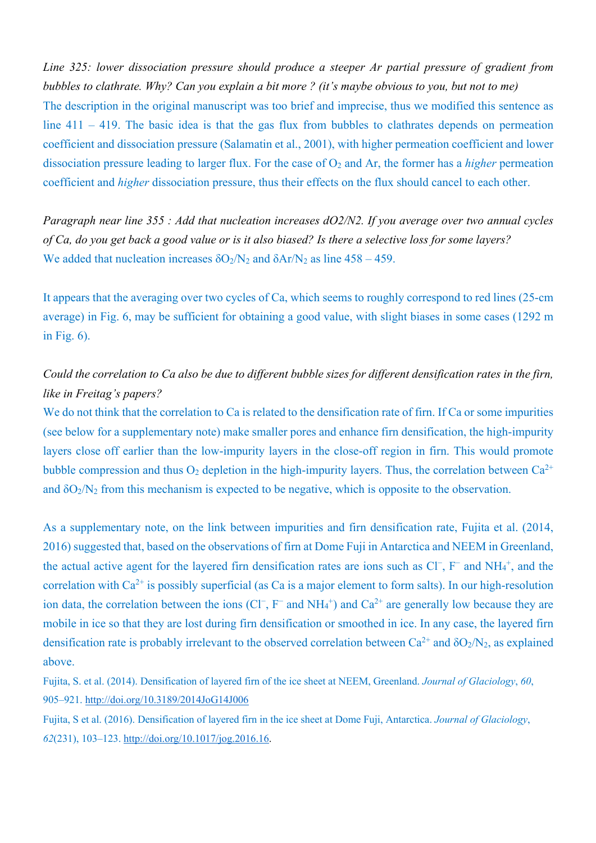*Line 325: lower dissociation pressure should produce a steeper Ar partial pressure of gradient from bubbles to clathrate. Why? Can you explain a bit more ? (it's maybe obvious to you, but not to me)* The description in the original manuscript was too brief and imprecise, thus we modified this sentence as line 411 – 419. The basic idea is that the gas flux from bubbles to clathrates depends on permeation coefficient and dissociation pressure (Salamatin et al., 2001), with higher permeation coefficient and lower dissociation pressure leading to larger flux. For the case of  $O_2$  and Ar, the former has a *higher* permeation coefficient and *higher* dissociation pressure, thus their effects on the flux should cancel to each other.

*Paragraph near line 355 : Add that nucleation increases dO2/N2. If you average over two annual cycles of Ca, do you get back a good value or is it also biased? Is there a selective loss for some layers?* We added that nucleation increases  $\delta O_2/N_2$  and  $\delta Ar/N_2$  as line 458 – 459.

It appears that the averaging over two cycles of Ca, which seems to roughly correspond to red lines (25-cm average) in Fig. 6, may be sufficient for obtaining a good value, with slight biases in some cases (1292 m in Fig. 6).

# *Could the correlation to Ca also be due to different bubble sizes for different densification rates in the firn, like in Freitag's papers?*

We do not think that the correlation to Ca is related to the densification rate of firn. If Ca or some impurities (see below for a supplementary note) make smaller pores and enhance firn densification, the high-impurity layers close off earlier than the low-impurity layers in the close-off region in firn. This would promote bubble compression and thus  $O_2$  depletion in the high-impurity layers. Thus, the correlation between  $Ca^{2+}$ and  $\delta O_2/N_2$  from this mechanism is expected to be negative, which is opposite to the observation.

As a supplementary note, on the link between impurities and firn densification rate, Fujita et al. (2014, 2016) suggested that, based on the observations of firn at Dome Fuji in Antarctica and NEEM in Greenland, the actual active agent for the layered firn densification rates are ions such as Cl<sup>−</sup>, F<sup>−</sup> and NH<sub>4</sub><sup>+</sup>, and the correlation with  $Ca^{2+}$  is possibly superficial (as Ca is a major element to form salts). In our high-resolution ion data, the correlation between the ions ( $Cl^-$ , F<sup>−</sup> and NH<sub>4</sub><sup>+</sup>) and  $Ca^{2+}$  are generally low because they are mobile in ice so that they are lost during firn densification or smoothed in ice. In any case, the layered firn densification rate is probably irrelevant to the observed correlation between  $Ca^{2+}$  and  $\delta O_2/N_2$ , as explained above.

Fujita, S. et al. (2014). Densification of layered firn of the ice sheet at NEEM, Greenland. *Journal of Glaciology*, *60*, 905–921. http://doi.org/10.3189/2014JoG14J006

Fujita, S et al. (2016). Densification of layered firn in the ice sheet at Dome Fuji, Antarctica. *Journal of Glaciology*, *62*(231), 103–123. http://doi.org/10.1017/jog.2016.16.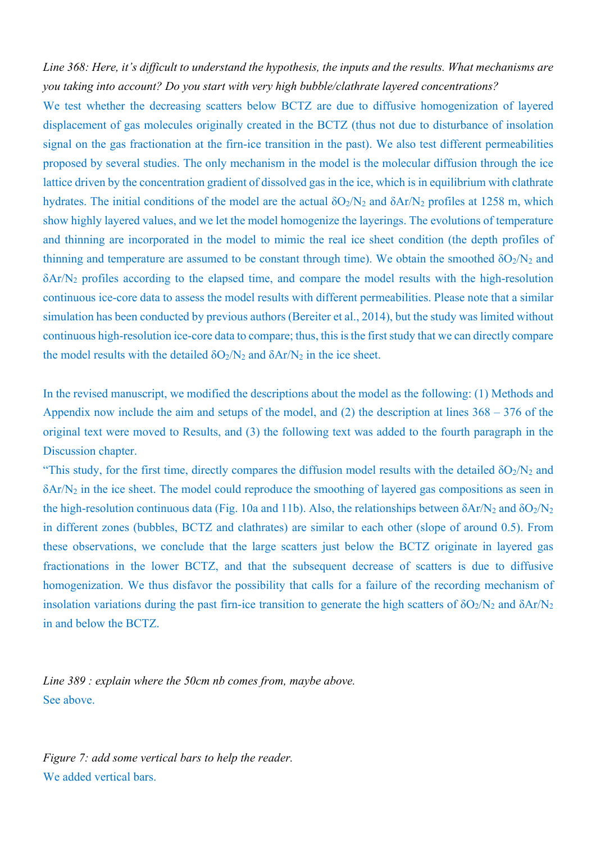*Line 368: Here, it's difficult to understand the hypothesis, the inputs and the results. What mechanisms are you taking into account? Do you start with very high bubble/clathrate layered concentrations?*

We test whether the decreasing scatters below BCTZ are due to diffusive homogenization of layered displacement of gas molecules originally created in the BCTZ (thus not due to disturbance of insolation signal on the gas fractionation at the firn-ice transition in the past). We also test different permeabilities proposed by several studies. The only mechanism in the model is the molecular diffusion through the ice lattice driven by the concentration gradient of dissolved gas in the ice, which is in equilibrium with clathrate hydrates. The initial conditions of the model are the actual  $\delta O_2/N_2$  and  $\delta Ar/N_2$  profiles at 1258 m, which show highly layered values, and we let the model homogenize the layerings. The evolutions of temperature and thinning are incorporated in the model to mimic the real ice sheet condition (the depth profiles of thinning and temperature are assumed to be constant through time). We obtain the smoothed  $\delta O_2/N_2$  and δAr/N2 profiles according to the elapsed time, and compare the model results with the high-resolution continuous ice-core data to assess the model results with different permeabilities. Please note that a similar simulation has been conducted by previous authors (Bereiter et al., 2014), but the study was limited without continuous high-resolution ice-core data to compare; thus, this is the first study that we can directly compare the model results with the detailed  $\delta O_2/N_2$  and  $\delta Ar/N_2$  in the ice sheet.

In the revised manuscript, we modified the descriptions about the model as the following: (1) Methods and Appendix now include the aim and setups of the model, and  $(2)$  the description at lines  $368 - 376$  of the original text were moved to Results, and (3) the following text was added to the fourth paragraph in the Discussion chapter.

"This study, for the first time, directly compares the diffusion model results with the detailed  $\delta O_2/N_2$  and δAr/N2 in the ice sheet. The model could reproduce the smoothing of layered gas compositions as seen in the high-resolution continuous data (Fig. 10a and 11b). Also, the relationships between  $\delta$ Ar/N<sub>2</sub> and  $\delta$ O<sub>2</sub>/N<sub>2</sub> in different zones (bubbles, BCTZ and clathrates) are similar to each other (slope of around 0.5). From these observations, we conclude that the large scatters just below the BCTZ originate in layered gas fractionations in the lower BCTZ, and that the subsequent decrease of scatters is due to diffusive homogenization. We thus disfavor the possibility that calls for a failure of the recording mechanism of insolation variations during the past firn-ice transition to generate the high scatters of  $\delta O_2/N_2$  and  $\delta Ar/N_2$ in and below the BCTZ.

*Line 389 : explain where the 50cm nb comes from, maybe above.* See above.

*Figure 7: add some vertical bars to help the reader.* We added vertical bars.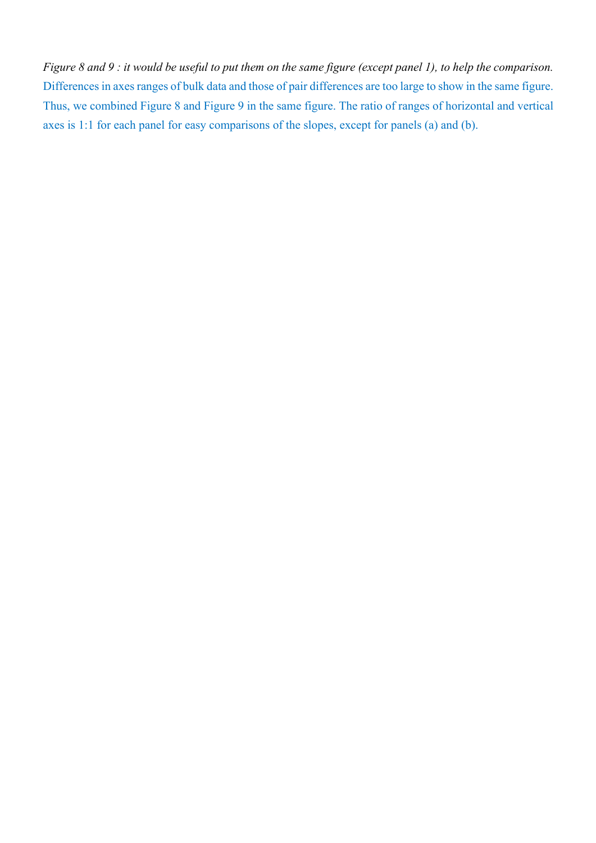*Figure 8 and 9 : it would be useful to put them on the same figure (except panel 1), to help the comparison.* Differences in axes ranges of bulk data and those of pair differences are too large to show in the same figure. Thus, we combined Figure 8 and Figure 9 in the same figure. The ratio of ranges of horizontal and vertical axes is 1:1 for each panel for easy comparisons of the slopes, except for panels (a) and (b).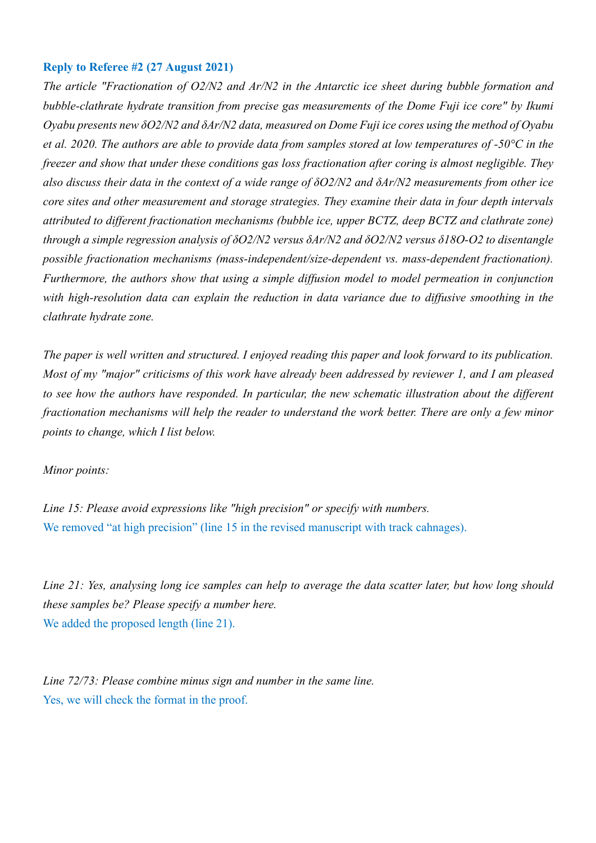### **Reply to Referee #2 (27 August 2021)**

*The article "Fractionation of O2/N2 and Ar/N2 in the Antarctic ice sheet during bubble formation and bubble-clathrate hydrate transition from precise gas measurements of the Dome Fuji ice core" by Ikumi Oyabu presents new δO2/N2 and δAr/N2 data, measured on Dome Fuji ice cores using the method of Oyabu et al. 2020. The authors are able to provide data from samples stored at low temperatures of -50°C in the freezer and show that under these conditions gas loss fractionation after coring is almost negligible. They also discuss their data in the context of a wide range of δO2/N2 and δAr/N2 measurements from other ice core sites and other measurement and storage strategies. They examine their data in four depth intervals attributed to different fractionation mechanisms (bubble ice, upper BCTZ, deep BCTZ and clathrate zone) through a simple regression analysis of δO2/N2 versus δAr/N2 and δO2/N2 versus δ18O-O2 to disentangle possible fractionation mechanisms (mass-independent/size-dependent vs. mass-dependent fractionation). Furthermore, the authors show that using a simple diffusion model to model permeation in conjunction with high-resolution data can explain the reduction in data variance due to diffusive smoothing in the clathrate hydrate zone.*

*The paper is well written and structured. I enjoyed reading this paper and look forward to its publication. Most of my "major" criticisms of this work have already been addressed by reviewer 1, and I am pleased to see how the authors have responded. In particular, the new schematic illustration about the different fractionation mechanisms will help the reader to understand the work better. There are only a few minor points to change, which I list below.*

*Minor points:*

*Line 15: Please avoid expressions like "high precision" or specify with numbers.* We removed "at high precision" (line 15 in the revised manuscript with track cahnages).

*Line 21: Yes, analysing long ice samples can help to average the data scatter later, but how long should these samples be? Please specify a number here.* We added the proposed length (line 21).

*Line 72/73: Please combine minus sign and number in the same line.* Yes, we will check the format in the proof.